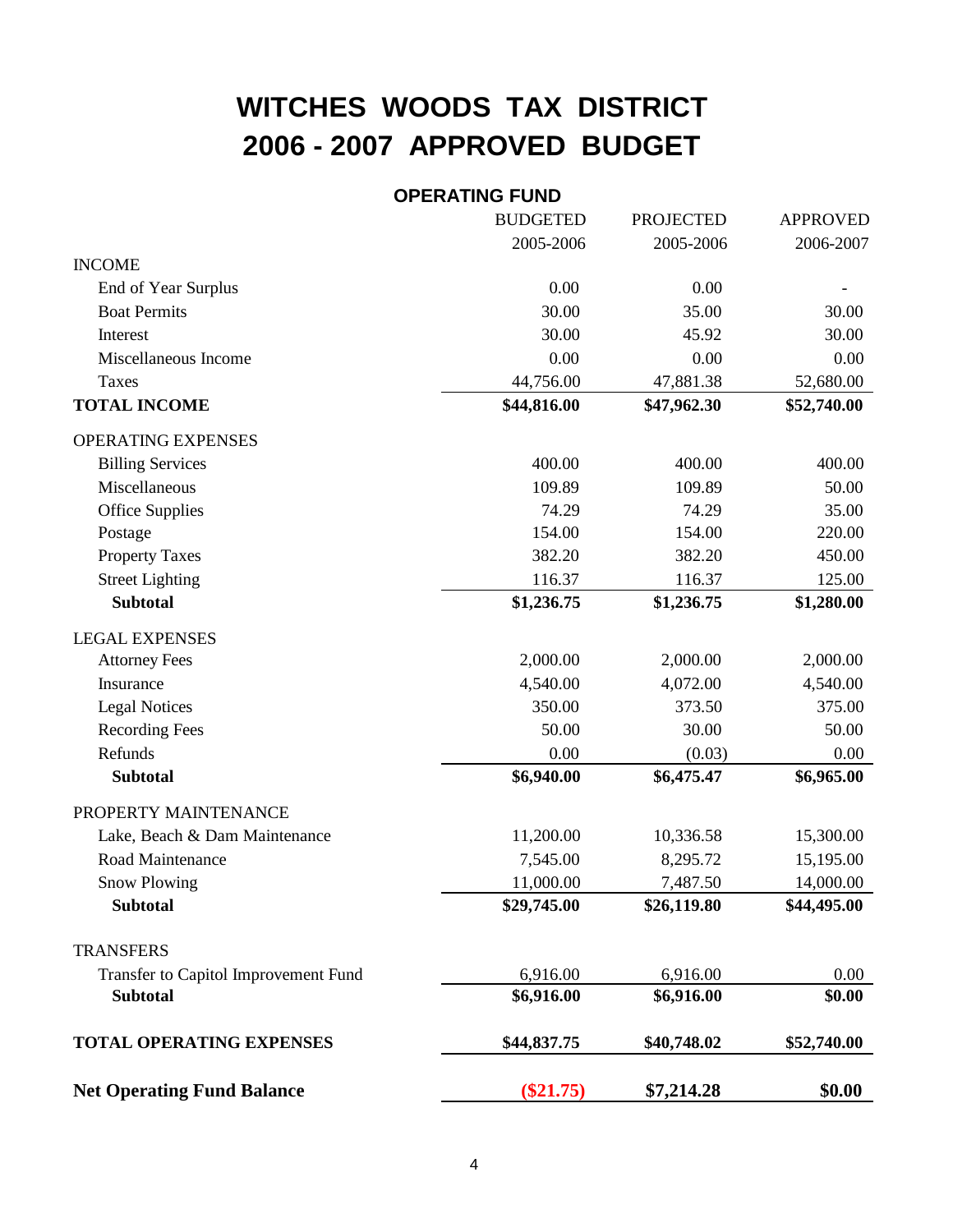## **WITCHES WOODS TAX DISTRICT 2006 - 2007 APPROVED BUDGET**

## **OPERATING FUND**

|                                      | <b>BUDGETED</b> | <b>PROJECTED</b> | <b>APPROVED</b> |
|--------------------------------------|-----------------|------------------|-----------------|
|                                      | 2005-2006       | 2005-2006        | 2006-2007       |
| <b>INCOME</b>                        |                 |                  |                 |
| End of Year Surplus                  | 0.00            | 0.00             |                 |
| <b>Boat Permits</b>                  | 30.00           | 35.00            | 30.00           |
| Interest                             | 30.00           | 45.92            | 30.00           |
| Miscellaneous Income                 | 0.00            | 0.00             | 0.00            |
| <b>Taxes</b>                         | 44,756.00       | 47,881.38        | 52,680.00       |
| <b>TOTAL INCOME</b>                  | \$44,816.00     | \$47,962.30      | \$52,740.00     |
| <b>OPERATING EXPENSES</b>            |                 |                  |                 |
| <b>Billing Services</b>              | 400.00          | 400.00           | 400.00          |
| Miscellaneous                        | 109.89          | 109.89           | 50.00           |
| <b>Office Supplies</b>               | 74.29           | 74.29            | 35.00           |
| Postage                              | 154.00          | 154.00           | 220.00          |
| <b>Property Taxes</b>                | 382.20          | 382.20           | 450.00          |
| <b>Street Lighting</b>               | 116.37          | 116.37           | 125.00          |
| <b>Subtotal</b>                      | \$1,236.75      | \$1,236.75       | \$1,280.00      |
| <b>LEGAL EXPENSES</b>                |                 |                  |                 |
| <b>Attorney Fees</b>                 | 2,000.00        | 2,000.00         | 2,000.00        |
| Insurance                            | 4,540.00        | 4,072.00         | 4,540.00        |
| <b>Legal Notices</b>                 | 350.00          | 373.50           | 375.00          |
| <b>Recording Fees</b>                | 50.00           | 30.00            | 50.00           |
| Refunds                              | 0.00            | (0.03)           | 0.00            |
| <b>Subtotal</b>                      | \$6,940.00      | \$6,475.47       | \$6,965.00      |
| PROPERTY MAINTENANCE                 |                 |                  |                 |
| Lake, Beach & Dam Maintenance        | 11,200.00       | 10,336.58        | 15,300.00       |
| Road Maintenance                     | 7,545.00        | 8,295.72         | 15,195.00       |
| <b>Snow Plowing</b>                  | 11,000.00       | 7,487.50         | 14,000.00       |
| <b>Subtotal</b>                      | \$29,745.00     | \$26,119.80      | \$44,495.00     |
| <b>TRANSFERS</b>                     |                 |                  |                 |
| Transfer to Capitol Improvement Fund | 6,916.00        | 6,916.00         | 0.00            |
| <b>Subtotal</b>                      | \$6,916.00      | \$6,916.00       | \$0.00          |
| <b>TOTAL OPERATING EXPENSES</b>      | \$44,837.75     | \$40,748.02      | \$52,740.00     |
| <b>Net Operating Fund Balance</b>    | $(\$21.75)$     | \$7,214.28       | \$0.00          |